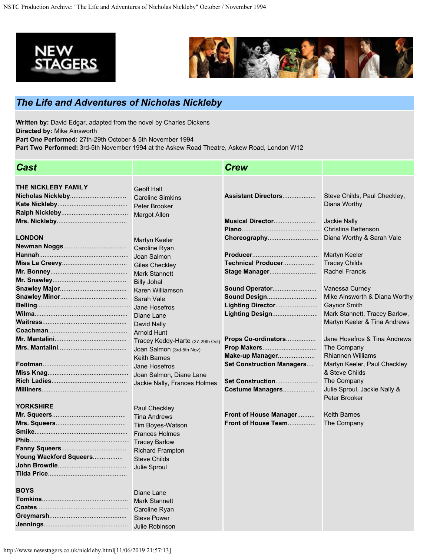



## *The Life and Adventures of Nicholas Nickleby*

**Written by:** David Edgar, adapted from the novel by Charles Dickens **Directed by:** Mike Ainsworth **Part One Performed:** 27th-29th October & 5th November 1994

**Part Two Performed:** 3rd-5th November 1994 at the Askew Road Theatre, Askew Road, London W12

| <b>Cast</b>            |                                                                                                                                                                             | <b>Crew</b>                                                                |                                                                                                                       |
|------------------------|-----------------------------------------------------------------------------------------------------------------------------------------------------------------------------|----------------------------------------------------------------------------|-----------------------------------------------------------------------------------------------------------------------|
| THE NICKLEBY FAMILY    | <b>Geoff Hall</b><br><b>Caroline Simkins</b><br>Peter Brooker                                                                                                               | Assistant Directors                                                        | Steve Childs, Paul Checkley,<br>Diana Worthy                                                                          |
| <b>LONDON</b>          | <b>Margot Allen</b><br>Martyn Keeler<br>Caroline Ryan                                                                                                                       | Musical Director<br>Choreography                                           | <b>Jackie Nally</b><br><b>Christina Bettenson</b><br>Diana Worthy & Sarah Vale                                        |
|                        | Joan Salmon<br><b>Giles Checkley</b><br><b>Mark Stannett</b><br><b>Billy Johal</b>                                                                                          | Technical Producer<br>Sound Operator                                       | <b>Martyn Keeler</b><br><b>Tracey Childs</b><br><b>Rachel Francis</b><br>Vanessa Curney                               |
|                        | Karen Williamson<br>Sarah Vale<br>Jane Hosefros<br>Diane Lane<br>David Nally                                                                                                | Sound Design<br>Lighting Director<br>Lighting Design                       | Mike Ainsworth & Diana Worthy<br><b>Gaynor Smith</b><br>Mark Stannett, Tracey Barlow,<br>Martyn Keeler & Tina Andrews |
|                        | <b>Arnold Hunt</b><br>Tracey Keddy-Harte (27-29th Oct)<br>Joan Salmon (3rd-5th Nov)<br><b>Keith Barnes</b><br>Jane Hosefros                                                 | Props Co-ordinators<br>Make-up Manager<br><b>Set Construction Managers</b> | Jane Hosefros & Tina Andrews<br>The Company<br><b>Rhiannon Williams</b><br>Martyn Keeler, Paul Checkley               |
| <b>YORKSHIRE</b>       | Joan Salmon, Diane Lane<br>Jackie Nally, Frances Holmes                                                                                                                     | Set Construction<br>Costume Managers                                       | & Steve Childs<br>The Company<br>Julie Sproul, Jackie Nally &<br>Peter Brooker                                        |
| Young Wackford Squeers | Paul Checkley<br><b>Tina Andrews</b><br>Tim Boyes-Watson<br><b>Frances Holmes</b><br><b>Tracey Barlow</b><br><b>Richard Frampton</b><br><b>Steve Childs</b><br>Julie Sproul | Front of House Manager<br>Front of House Team                              | <b>Keith Barnes</b><br>The Company                                                                                    |
| <b>BOYS</b>            | Diane Lane<br><b>Mark Stannett</b><br><b>Steve Power</b><br>Julie Robinson                                                                                                  |                                                                            |                                                                                                                       |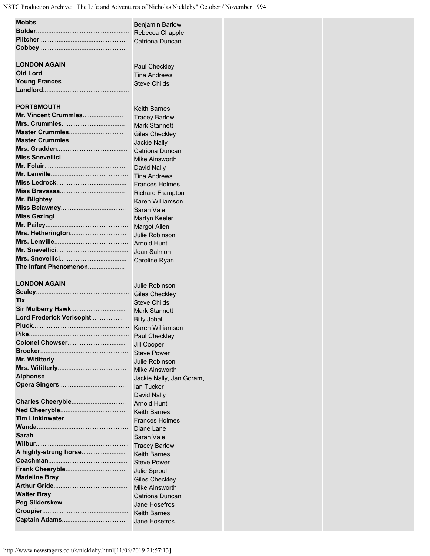|                          | <b>Benjamin Barlow</b>                       |  |
|--------------------------|----------------------------------------------|--|
|                          | Rebecca Chapple                              |  |
|                          | Catriona Duncan                              |  |
|                          |                                              |  |
|                          |                                              |  |
| <b>LONDON AGAIN</b>      | <b>Paul Checkley</b>                         |  |
|                          | <b>Tina Andrews</b>                          |  |
|                          | <b>Steve Childs</b>                          |  |
|                          |                                              |  |
|                          |                                              |  |
| <b>PORTSMOUTH</b>        | <b>Keith Barnes</b>                          |  |
| Mr. Vincent Crummles     | <b>Tracey Barlow</b>                         |  |
| Master Crummles          | <b>Mark Stannett</b>                         |  |
| Master Crummles          | <b>Giles Checkley</b>                        |  |
|                          | <b>Jackie Nally</b>                          |  |
|                          | Catriona Duncan                              |  |
|                          | <b>Mike Ainsworth</b>                        |  |
|                          | David Nally                                  |  |
|                          | <b>Tina Andrews</b><br><b>Frances Holmes</b> |  |
|                          | <b>Richard Frampton</b>                      |  |
|                          | Karen Williamson                             |  |
|                          | Sarah Vale                                   |  |
|                          | <b>Martyn Keeler</b>                         |  |
|                          | <b>Margot Allen</b>                          |  |
|                          | Julie Robinson                               |  |
|                          | <b>Arnold Hunt</b>                           |  |
|                          | Joan Salmon                                  |  |
|                          | Caroline Ryan                                |  |
| The Infant Phenomenon    |                                              |  |
|                          |                                              |  |
| <b>LONDON AGAIN</b>      | Julie Robinson                               |  |
|                          | <b>Giles Checkley</b>                        |  |
|                          | <b>Steve Childs</b>                          |  |
| Sir Mulberry Hawk        | <b>Mark Stannett</b>                         |  |
| Lord Frederick Verisopht | <b>Billy Johal</b>                           |  |
|                          |                                              |  |
|                          | Paul Checkley                                |  |
|                          | Jill Cooper                                  |  |
|                          | <b>Steve Power</b>                           |  |
|                          | Julie Robinson<br><b>Mike Ainsworth</b>      |  |
|                          |                                              |  |
|                          | Jackie Nally, Jan Goram,<br>lan Tucker       |  |
|                          | David Nally                                  |  |
|                          | <b>Arnold Hunt</b>                           |  |
|                          | <b>Keith Barnes</b>                          |  |
|                          | <b>Frances Holmes</b>                        |  |
|                          | Diane Lane                                   |  |
|                          | Sarah Vale                                   |  |
|                          | <b>Tracey Barlow</b>                         |  |
| A highly-strung horse    | <b>Keith Barnes</b>                          |  |
|                          | <b>Steve Power</b>                           |  |
|                          | Julie Sproul                                 |  |
|                          | <b>Giles Checkley</b>                        |  |
|                          | Mike Ainsworth                               |  |
|                          | Catriona Duncan                              |  |
|                          | Jane Hosefros                                |  |
|                          | <b>Keith Barnes</b>                          |  |
|                          |                                              |  |
|                          | Jane Hosefros                                |  |